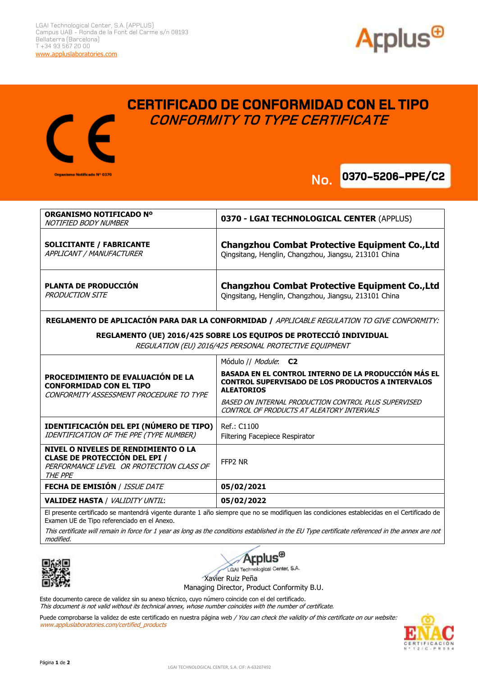

**0370-5206-PPE/C2** 



## **CERTIFICADO DE CONFORMIDAD CON EL TIPO CONFORMITY TO TYPE CERTIFICATE**

**No.**

## **ORGANISMO NOTIFICADO Nº**  NOTIFIED BODY NUMBER **0370 - LGAI TECHNOLOGICAL CENTER** (APPLUS) **SOLICITANTE / FABRICANTE**  APPLICANT / MANUFACTURER **Changzhou Combat Protective Equipment Co.,Ltd** Qingsitang, Henglin, Changzhou, Jiangsu, 213101 China **PLANTA DE PRODUCCIÓN**  PRODUCTION SITE **Changzhou Combat Protective Equipment Co.,Ltd** Qingsitang, Henglin, Changzhou, Jiangsu, 213101 China **No.**

**REGLAMENTO DE APLICACIÓN PARA DAR LA CONFORMIDAD /** APPLICABLE REGULATION TO GIVE CONFORMITY:

**REGLAMENTO (UE) 2016/425 SOBRE LOS EQUIPOS DE PROTECCIÓ INDIVIDUAL** 

REGULATION (EU) 2016/425 PERSONAL PROTECTIVE EQUIPMENT

| PROCEDIMIENTO DE EVALUACIÓN DE LA<br><b>CONFORMIDAD CON EL TIPO</b><br>CONFORMITY ASSESSMENT PROCEDURE TO TYPE                     | Módulo // <i>Module</i> : <b>C2</b>                                                                                                          |
|------------------------------------------------------------------------------------------------------------------------------------|----------------------------------------------------------------------------------------------------------------------------------------------|
|                                                                                                                                    | <b>BASADA EN EL CONTROL INTERNO DE LA PRODUCCIÓN MÁS EL</b><br><b>CONTROL SUPERVISADO DE LOS PRODUCTOS A INTERVALOS</b><br><b>ALEATORIOS</b> |
|                                                                                                                                    | BASED ON INTERNAL PRODUCTION CONTROL PLUS SUPERVISED<br>CONTROL OF PRODUCTS AT ALEATORY INTERVALS                                            |
| IDENTIFICACIÓN DEL EPI (NÚMERO DE TIPO)<br>IDENTIFICATION OF THE PPE (TYPE NUMBER)                                                 | Ref.: C1100<br>Filtering Facepiece Respirator                                                                                                |
| NIVEL O NIVELES DE RENDIMIENTO O LA<br><b>CLASE DE PROTECCIÓN DEL EPI /</b><br>PERFORMANCE LEVEL OR PROTECTION CLASS OF<br>THE PPE | FFP2 NR                                                                                                                                      |
| <b>FECHA DE EMISIÓN / ISSUE DATE</b>                                                                                               | 05/02/2021                                                                                                                                   |
| <b>VALIDEZ HASTA / VALIDITY UNTIL:</b>                                                                                             | 05/02/2022                                                                                                                                   |
|                                                                                                                                    |                                                                                                                                              |

El presente certificado se mantendrá vigente durante 1 año siempre que no se modifiquen las condiciones establecidas en el Certificado de Examen UE de Tipo referenciado en el Anexo.

This certificate will remain in force for 1 year as long as the conditions established in the EU Type certificate referenced in the annex are not modified.





LGAI Technological Center, S.A.

Xavier Ruiz Peña

Managing Director, Product Conformity B.U.

Este documento carece de validez sin su anexo técnico, cuyo número coincide con el del certificado. This document is not valid without its technical annex, whose number coincides with the number of certificate.

Puede comprobarse la validez de este certificado en nuestra página web / You can check the validity of this certificate on our website: www.appluslaboratories.com/certified\_products